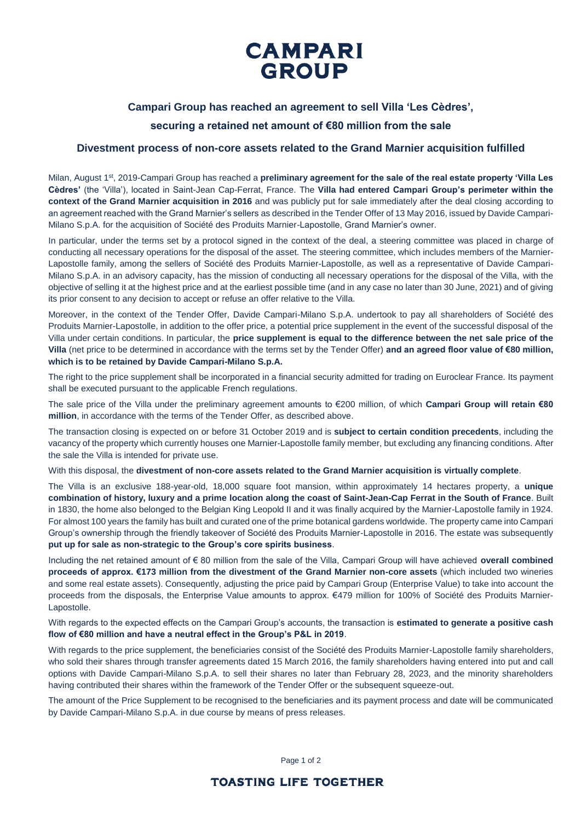# **CAMPARI** GROUP

### **Campari Group has reached an agreement to sell Villa 'Les Cèdres',**

## **securing a retained net amount of €80 million from the sale**

### **Divestment process of non-core assets related to the Grand Marnier acquisition fulfilled**

Milan, August 1<sup>st</sup>, 2019-Campari Group has reached a **preliminary agreement for the sale of the real estate property 'Villa Les Cèdres'** (the 'Villa'), located in Saint-Jean Cap-Ferrat, France. The **Villa had entered Campari Group's perimeter within the context of the Grand Marnier acquisition in 2016** and was publicly put for sale immediately after the deal closing according to an agreement reached with the Grand Marnier's sellers as described in the Tender Offer of 13 May 2016, issued by Davide Campari-Milano S.p.A. for the acquisition of Société des Produits Marnier-Lapostolle, Grand Marnier's owner.

In particular, under the terms set by a protocol signed in the context of the deal, a steering committee was placed in charge of conducting all necessary operations for the disposal of the asset. The steering committee, which includes members of the Marnier-Lapostolle family, among the sellers of Société des Produits Marnier-Lapostolle, as well as a representative of Davide Campari-Milano S.p.A. in an advisory capacity, has the mission of conducting all necessary operations for the disposal of the Villa, with the objective of selling it at the highest price and at the earliest possible time (and in any case no later than 30 June, 2021) and of giving its prior consent to any decision to accept or refuse an offer relative to the Villa.

Moreover, in the context of the Tender Offer, Davide Campari-Milano S.p.A. undertook to pay all shareholders of Société des Produits Marnier-Lapostolle, in addition to the offer price, a potential price supplement in the event of the successful disposal of the Villa under certain conditions. In particular, the **price supplement is equal to the difference between the net sale price of the Villa** (net price to be determined in accordance with the terms set by the Tender Offer) **and an agreed floor value of €80 million, which is to be retained by Davide Campari-Milano S.p.A.**

The right to the price supplement shall be incorporated in a financial security admitted for trading on Euroclear France. Its payment shall be executed pursuant to the applicable French regulations.

The sale price of the Villa under the preliminary agreement amounts to €200 million, of which **Campari Group will retain €80 million**, in accordance with the terms of the Tender Offer, as described above.

The transaction closing is expected on or before 31 October 2019 and is **subject to certain condition precedents**, including the vacancy of the property which currently houses one Marnier-Lapostolle family member, but excluding any financing conditions. After the sale the Villa is intended for private use.

With this disposal, the **divestment of non-core assets related to the Grand Marnier acquisition is virtually complete**.

The Villa is an exclusive 188-year-old, 18,000 square foot mansion, within approximately 14 hectares property, a **unique combination of history, luxury and a prime location along the coast of Saint-Jean-Cap Ferrat in the South of France**. Built in 1830, the home also belonged to the Belgian King Leopold II and it was finally acquired by the Marnier-Lapostolle family in 1924. For almost 100 years the family has built and curated one of the prime botanical gardens worldwide. The property came into Campari Group's ownership through the friendly takeover of Société des Produits Marnier-Lapostolle in 2016. The estate was subsequently **put up for sale as non-strategic to the Group's core spirits business**.

Including the net retained amount of € 80 million from the sale of the Villa, Campari Group will have achieved **overall combined proceeds of approx. €173 million from the divestment of the Grand Marnier non-core assets** (which included two wineries and some real estate assets). Consequently, adjusting the price paid by Campari Group (Enterprise Value) to take into account the proceeds from the disposals, the Enterprise Value amounts to approx. €479 million for 100% of Société des Produits Marnier-Lapostolle.

With regards to the expected effects on the Campari Group's accounts, the transaction is **estimated to generate a positive cash flow of €80 million and have a neutral effect in the Group's P&L in 2019**.

With regards to the price supplement, the beneficiaries consist of the Société des Produits Marnier-Lapostolle family shareholders, who sold their shares through transfer agreements dated 15 March 2016, the family shareholders having entered into put and call options with Davide Campari-Milano S.p.A. to sell their shares no later than February 28, 2023, and the minority shareholders having contributed their shares within the framework of the Tender Offer or the subsequent squeeze-out.

The amount of the Price Supplement to be recognised to the beneficiaries and its payment process and date will be communicated by Davide Campari-Milano S.p.A. in due course by means of press releases.

Page 1 of 2

# **TOASTING LIFE TOGETHER**